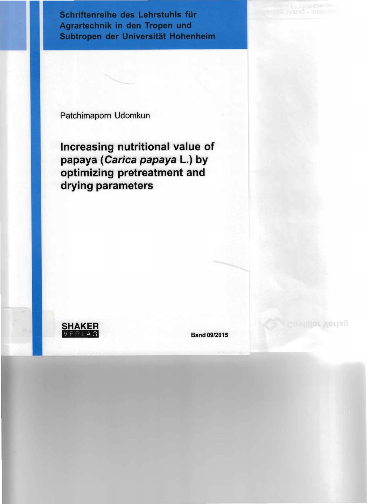Schriftenreihe des Lehrstuhls für Agrartechnik in den Tropen und Subtropen der Universität Hohenheim

Patchimaporn Udomkun

Increasing nutritional value of papaya (Carica papaya L.) by optimizing pretreatment and drying parameters

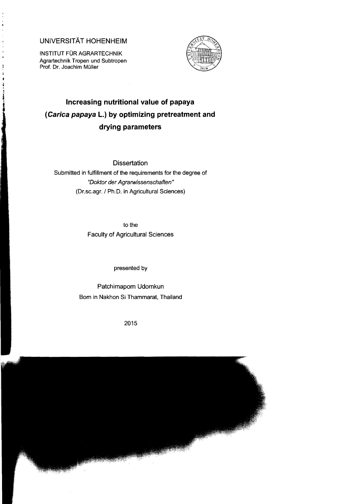## UNIVERSITÄT HOHENHEIM

INSTITUT FÜR AGRARTECHNIK Agrartechnik Tropen und Subtropen Prof. Dr. Joachim Müller



## **Increasing nutritional value of papaya (Carica papaya l.) by optimizing pretreatment and drying parameters**

**Dissertation** 

Submitted in fulfillment of the requirements for the degree of "Doktor der Agrarwissenschaften" (Dr.sc.agr./ Ph.D. in Agricultural Sciences)

> to the Faculty of Agricultural Sciences

> > presented by

Patchimaporn Udomkun Bom in Nakhon Si Thammarat, Thailand

2015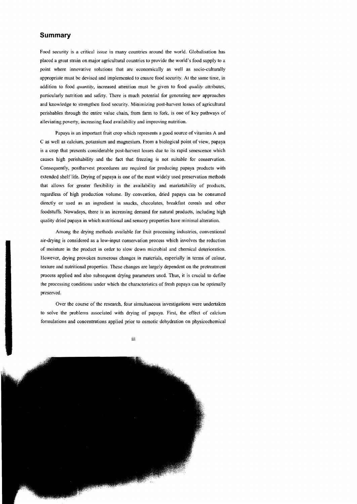## **Summary**

Food security is a critical issue in many countries around the world. Globalisation has placed a great strain on major agricultural countries to provide the world's food supply to a point where innovative solutions that are economically as well as socio-culturally appropriate must be devised and implemented to ensure food security. At the same time, in addition to food *quantity*, increased attention must be given to food *quality* attributes, particularly nutrition and safety. There is much potential for generating new approaches and knowledge to strengthen food security. Minimizing post-harvest losses of agricultural perishables through the entire value chain, from farm to fork, is one of key pathways of aHeviating poverty, increasing food availability and improving nutrition.

Papaya is an important fruit crop which represents a good source of vitamins A and C as weil as calcium, potassium and magnesium. From a biological point of view, papaya is a crop that presents considerable post-harvest losses due to its rapid senescence which causes high perishability and the fact that freezing is not suitable for conservation. Consequently, postharvest procedures are required for producing papaya products with extended shelf Iife. Drying of papaya is one of the most widely used preservation methods that allows for greater flexibility in the availability and marketability of products, regardless of high production volume. By convention, dried papaya can be consumed directly or used as an ingredient in snacks, chocolates, breakfast cereals and other foodstuffs. Nowadays, there is an increasing demand for natural products, incIuding high quality dried papaya in which nutritional and sensory properties have minimal alteration.

Among the drying methods available for fruit processing industries, conventional air-drying is considered as a low-input conservation process which involves the reduction of moisture in the product in order to slow down microbial and chemical deterioration. However, drying provokes numerous changes in materials, especially in terms of colour, texture and nutritional properties. These changes are largely dependent on the pretreatment process applied and also subsequent drying parameters used. Thus, it is crucial to define the processing eonditions under whieh the characteristics of fresh papaya ean be optimally preserved.

Over the course of the research, four simultaneous investigations were undertaken to solve the problems assoeiated with drying of papaya. First, the effeet of calcium formulations and concentrations applied prior to osmotic dehydration on physicochemical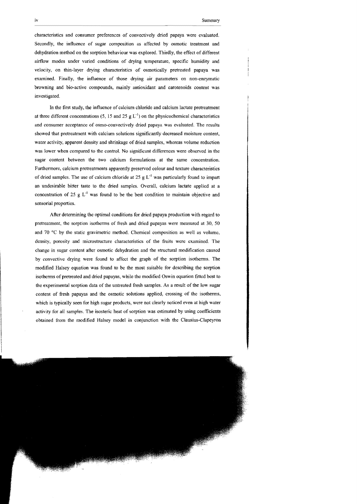characteristics and consumer preferences of convectively dried papaya were evaluated. Secondly, the influence of sugar composition as affected by osmotic treatment and dehydration method on the sorption behaviour was explored. Thirdly, the effect of different airflow modes under varied conditions of drying temperature, specific humidity and velocily, on thin-Iayer drying characteristics of osmotically pretreated papaya was examined. Finally, the influence of those drying air parameters on non-enzyrnatic browning and bio-active compounds, mainly antioxidant and carotenoids content was investigated.

In the first study, the influence of calcium chloride and calcium lactate pretreatment at three different concentrations (5, 15 and 25  $g L^{-1}$ ) on the physicochemical characteristics and eonsumer aceeptancc of osmo-eonvectively dried papaya was evaluated. The results showed that pretreatment with calcium solutions significantly decreased moisture content, water activity, apparent density and shrinkage of dried samples, whereas volume reduction was lower when compared to the control. No significant differences were observed in the sugar eontent between the two calcium formulations at the same concentration. Furthermore, calcium pretreatments apparently preserved colour and texture characteristics of dried samples. The use of calcium chloride at 25 g  $L^{-1}$  was particularly found to impart an undesirable bitter taste to the dried sampies. Overall, calcium lactate applied at a concentration of 25 g  $L^{-1}$  was found to be the best condition to maintain objective and sensorial properties.

After determining the optimal conditions for dried papaya produetion with regard to pretreatment, the sorption isotherms of fresh and dried papayas were measured at 30, 50 and 70°C by the statie gravimetrie method. Chemical composition as weil as volume, densily, porosily and mierostructure characteristics of the fruits were examined. The change in sugar eontent after osmotie dehydration and the structural modification caused by eonvective drying were found to affect the graph of the sorption isotherms. The modified Halsey equation was found to be the most suitable for deseribing the sorption isotherms of pretreated and dried papayas, while the modified Oswin equation fitted best to the experimental sorption data of the untreated fresh sampies. As a result of the low sugar content of fresh papayas and the osmotic solutions applied, crossing of the isotherms, which is typically seen for high sugar products, were not clearly noticed even at high water activity for all sampies. The isosteric heat of sorption was estimated by using coefficients obtained from the modified Halsey model in conjunction with the Clausius-Clapeyron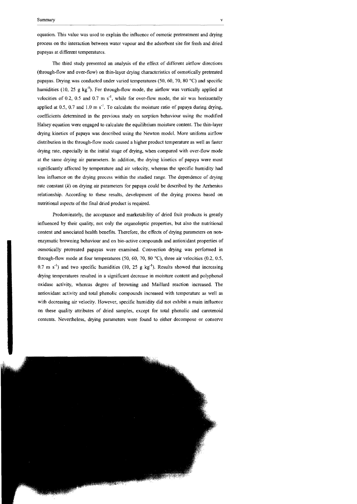equation. This value was used to explain the influence of osrnotic pretreatrnent and drying process on the interaetion between water vapour and the adsorbent site for fresh and dried papayas at different temperatures.

The third study presented an analysis of the effeet of different airflow directions (through-flow and over-flow) on thin-layer drying characteristics of osrnotically pretreated papayas. Drying was conducted under varied temperatures (50, 60, 70, 80  $^{\circ}$ C) and specific humidities (10, 25  $g$  kg<sup>-1</sup>). For through-flow mode, the airflow was vertically applied at velocities of 0.2, 0.5 and 0.7 m  $s^1$ , while for over-flow mode, the air was horizontally applied at 0.5, 0.7 and 1.0 m  $s^{-1}$ . To calculate the moisture ratio of papaya during drying, coefficients detennined in the previous study on sorption behaviour using the rnodified Halsey equation were engaged to calculate the equilibrium moisture content. The thin-layer drying kinetics of papaya was described using the Newton modeL More unifonn airflow distribution in the through-flow mode caused a higher product temperature as well as faster drying rate, especially in the initial stage of drying, when compared with over-flow mode at the same drying air parameters. In addition, the drying kinetics of papaya were most significantly affected by temperature and air velocity, whereas the specific humidity had less influence on the drying process within the studied range. The dependence of drying rate constant  $(k)$  on drying air parameters for papaya could be described by the Arrhenius relationship. According to these results, development of the drying process based on nutritional aspccts of the final dried product is required.

Predominately, the acceptance and marketability of dried fruit products is greatly influenced by their quality, not only the organoleptic propenies, but also the nutritional content and associated health benefits. Therefore, the effects of drying parameters on nonenzymatic browning behaviour and on bio-active compounds and antioxidant properties of osmotically pretreated papayas wcre examined. Convection drying was perfonned in through-flow mode at four temperatures (50, 60, 70, 80 °C), three air velocities (0.2, 0.5, 0.7 m s<sup>-1</sup>) and two specific humidities (10, 25 g kg<sup>-1</sup>). Results showed that increasing drying tempcratures resulted in a significant decrease in moisture content and polyphenol oxidase activity, whereas degree of browning and Maillard reaetion increased. The antioxidant activity and total phenolic compounds increased with temperature as weil as with decreasing air velocity. However, speeific humidity did not exhibit a main influence on these quality attributes of dried sampies, except for total phenolic and carotenoid contents. Nevertheless, drying parameters were found to either decompose or conserve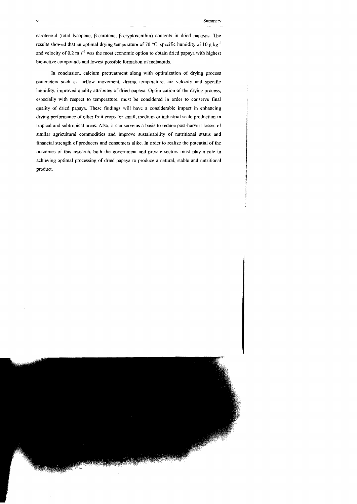carotenoid (total lycopene, ß-earotenc, ß-cryptoxanthin) contents in dried papayas. Thc results showed that an optimal drying temperature of 70 °C, specific humidity of 10 g kg<sup>-1</sup> and velocity of  $0.2 \text{ m s}^{-1}$  was the most economic option to obtain dried papaya with highest bio-active compounds and lowcst possible formation of melanoids.

In conclusion, calcium pretreatment along with optimization of drying process parameters such as airflow movement, drying temperature, air velocity and specific humidity, improved quality attributes of dried papaya. Optimization of the drying process, cspecially with respect to temperature, must be considered in order 10 conserve final quality of dried papaya. These findings will have a considerable impact in enhancing drying performance of other fruit crops for smalI, medium or industrial scale production in tropical and subtropical areas. Also, it can serve as a basis to reduce post-harvest losses of similar agricultural commodities and improve sustainability of nutritional status and financial strength of producers and consumers alike. In order to realize the potential of the outcomes of this research, both the government and private sectors must play a role in achieving optimal processing of dried papaya 10 produce a natural, stable and nutritional product.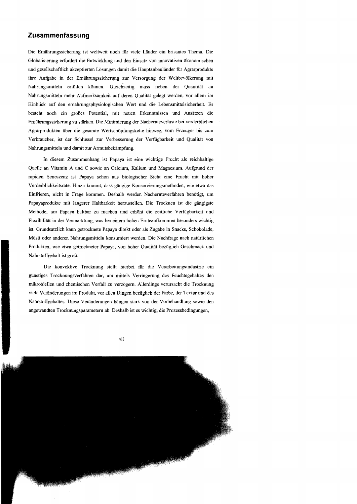## **Zusammenfassung**

Die Ernährungssicherung ist weltweit noch für viele Länder ein brisantes Thema. Die Globalisierung erfordert die Entwicklung und den Einsatz von innovativen ökonomischen und gesellschaftlich akzeptierten Lösungen damit die Hauptanbauländer für Agrarprodukte ihre Aufgabe in der Ernährungssicherung zur Versorgung der Weltbevölkerung mit Nahrungsmitteln erfüllen können. Gleichzeitig muss neben der Quantität an Nahrungsmitteln mehr Aufmerksamkeit auf deren Qualität gelegt werden, vor allem im Hinblick auf den ernährungsphysiologischen Wert und die Lebensmittelsicherheit. Es besteht noch ein großes Potential, mit neuen Erkenntnissen und Ansätzen die Ernährungssicherung zu stärken. Die Minimierung der Nachcrnteverluste bei verderblichen Agrarprodukten über die gesamte Wertschöpfungskette hinweg, vom Erzeuger bis zum Verbraucher, ist der Schlüssel zur Verbesserung der Verfügbarkeit und Qualität von Nahrungsmitteln und damit zur Armutsbekämpfung.

In diesem Zusammenhang ist Papaya ist eine wiehtige Frucht als reichhaltige Quelle an Vitamin A und C sowie an Calcium, Kalium und Magnesium. Aufgrund der rapiden Seneszenz ist Papaya schon aus biologischer Sicht eine Frucht mit hoher Verderblichkeitsrate. Hinzu kommt, dass gängige Konservierungsmethoden, wie etwa das Einfrieren, nicht in Frage kommen. Deshalb werden Nachernteverfahren benötigt, um Papayaprodukte mit längerer Haltbarkeit herzustellen. Die Trocknen ist die gängigste Methode, um Papaya haltbar zu machen und erhöht die zeitliche Verfügbarkeit und Flexibilität in der Vermarktung, was bei einem hohen Ernteaufkommen besonders wichtig ist. Grundsätzlich kann getrocknete Papaya direkt oder als Zugabe in Snacks, Schokolade, Müsli oder anderen Nahrungsmitteln konsumiert werden. Die Nachfrage nach natürlichen Produkten, wie etwa getrockneter Papaya, von hoher Qualität bezüglich Geschmack und Nährstoffgehalt ist groß.

Die konvektive Trocknung stellt hierbei für die Verarbeitungsindustrie ein günstiges Trocknungsverfabren dar, um mittels Verringerung des Feuchtegehaltes den mikrobiellen und chemischen Verfall zu verzögern. Allerdings verursacht die Trocknung viele Veränderungen im Produkt, vor allen Dingen bezüglich der Farbe, der Textur und des Nährstoffgehaltes. Diese Veränderungen hängen stark von der Vorbehandlung sowie den angewandten Trocknungsparametern ab. Deshalb ist es wichtig, die Prozessbedingungen,

vii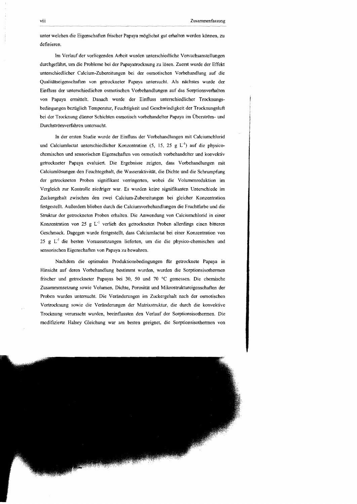unter welchen die Eigenschaften frischer Papaya möglichst gut erhalten werden können, zu definieren.

Im Verlauf der vorliegenden Arbeit wurden unterschiedliche Versuchsanstellungen durchgeführt, um die Probleme bei der Papayatrocknung zu lösen. Zuerst wurde der Effekt unterschiedlicher Calcium-Zubereitungen bei der osmotischen Vorbehandlung auf die Qualitätseigenschaften von getrockneter Papaya untersucht. Als nächstes wurde der Einfluss der unterschiedlichen osmotischen Vorbehandlungen auf das Sorptionsverhalten von Papaya ermittelt. Danach wurde der Einfluss unterschiedlicher Trocknungsbedingungen bezüglich Temperatur, Feuchtigkeit und Geschwindigkeit der Trocknungsluft bei der Trocknung dünner Schichten osmotisch vorbehandelter Papaya im Überström- und Durchströmverfahren untersucht.

In der ersten Studie wurde der Einfluss der Vorbehandlungen mit Calciumchlorid und Calciumlactat unterschiedlicher Konzentration (5, 15, 25 g  $L^{-1}$ ) auf die physicochemischen und sensorischen Eigenschaften von osmotisch vorbehandelter und konvektiv getrockneter Papaya evaluiert. Die Ergebnisse zeigten, dass Vorbehandlungen mit Calciumlösungen den Feuchtegehalt, die Wasseraktivität, die Dichte und die Schrumpfung der getrockneten Proben signifikant verringerten, wobei die Volumenreduktion im Vergleich zur Kontrolle niedriger war. Es wurden keine signifikanten Unterschiede im Zuckergehalt zwischen den zwei Calcium-Zubereitungen bei gleicher Konzentration festgestellt. Außerdem blieben durch die Calciumvorbehandlungen die Fruchtfarbe und die Struktur der getrockneten Proben erhalten. Die Anwendung von Calciumchlorid in einer Konzentration von 25 g  $L^{-1}$  verlieh den getrockneten Proben allerdings einen bitteren Geschmack. Dagegen wurde festgestellt, dass Calciumlactat bei einer Konzentration von 25 g  $L^{-1}$  die besten Voraussetzungen lieferten, um die die physico-chemischen und sensorischen Eigenschaften von Papaya zu bewahren.

Nachdem die optimalen Produktionsbedingungen für getrocknete Papaya in Hinsicht auf deren Vorbehandlung bestimmt wurden, wurden die Sorptionsisothermen frischer und getrockneter Papayas bei 30, 50 und 70°C gemessen. Die chemische Zusammensetzung sowie Volumen, Dichte, Porosität und Mikrostruktureigenschaften der Proben \vurden untersucht. Die Veränderungen im Zuckergehalt nach der osmotischen Vortrocknung sowie die Veränderungen der Matrixstruktur, die durch die konvektive Trocknung verursacht wurden, beeinflussten den Verlauf der Sorptionsisothermen. Die modifizierte Halsey Gleichung war am besten geeignet, die Sorptionsisothermen von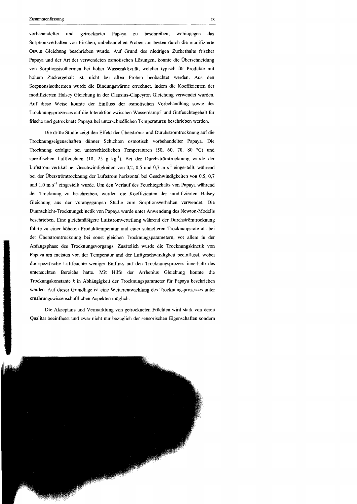vorbehandelter nnd getrockneter Papaya zu beschreiben, wohingegen das Sorptionsverhalten von frischen, unbehandelten Proben am besten durch die modifizierte Oswin Gleichnng beschrieben wurde. Auf Grund des niedrigen Zuckerhalts frischer Papaya und der Art der verwendeten osmotischen Lösnngen, konnte die Überschneidung von Sorptionsisothennen bei hoher Wasseraktivität, welcher typisch für Produkte mit hohem Zuckergehalt ist, nicht bei allen Proben beobachtet werden. Aus den Sorptionsisothennen wurde die Bindnngswänne errechnet, indem die Koeffizienten der modifizierten Halsey Gleichnng in der Clausius-Clapeyron Gleichung verwendet wurden. Auf diese Weise konnte der Einfluss der osmotischen Vorbehandlung sowie des Trocknungsprozesses auf die Interaktion zwischen Wasserdampf und Gutfeuchtegehalt für frische nnd getrocknete Papaya bei unterschiedlichen Temperaturen beschrieben werden.

Die dritte Studie zeigt den Effekt der Überström- und Durchströmtrocknung auf die Trocknungseigenschaften dünner Schichten osmotisch vorbehandelter Papaya. Die Trocknung erfolgtc bei nnterschiedlichen Temperaturen (50, 60, 70, 80°C) und spezifischen Luftfeuchten (10, 25 g kg<sup>-1</sup>). Bei der Durchströmtrocknung wurde der Luftstrom vertikal bei Geschwindigkeiten von 0,2, 0,5 und 0,7 m s<sup>-1</sup> eingestellt, während bei der Überströmtrocknung der Luftstrom horizontal bei Geschwindigkeiten von 0,5, 0,7 und 1,0 m s<sup>-1</sup> eingestellt wurde. Um den Verlauf des Feuchtegehalts von Papaya während der Trocknung zu beschreiben, wurden die Koeffizienten der modifizierten Halsey Gleichung aus der vorangegangen Studie zum Sorptionsverhalten verwendet. Die Dünnschicht-Trocknungskinetik von Papaya wurde unter Anwendung des Newton-Modells beschrieben. Eine gleichmäßigere Luftstromverteilung während der Durchströmtrocknung führte zu einer höheren Produkttemperatur nnd einer schnelleren Trocknungsrate als bei der Überströmtrocknung bei sonst gleichen Trocknnngsparametern, vor allem in der Anfangsphase des Trocknungsvorgangs. Zusätzlich wurde die Trocknungskinetik von Papaya am meisten von der Temperatur nnd der Luftgeschwindigkeit beeinflusst, wobei die spezifische Luftfeuchte weniger Einfluss auf den Troeknungsprozess innerhalb des nntersuchten Bereichs hatte. Mit Hilfe der Arrhenius Gleichung konnte die Troekungskonstante *k* in Abhängigkeit der Trocknnngsparameter fur Papaya beschrieben werden. Auf dieser Grundlage ist eine Weiterentwicklung des Trocknungsprozesses unter emährungswissenschaftlichen Aspekten möglich.

Die Akzeptanz und Vennarktung von getrockneten Früchten wird stark von deren Qualität beeinflusst nnd zwar nicht nur bezüglich der sensorischen Eigenschaften sondern